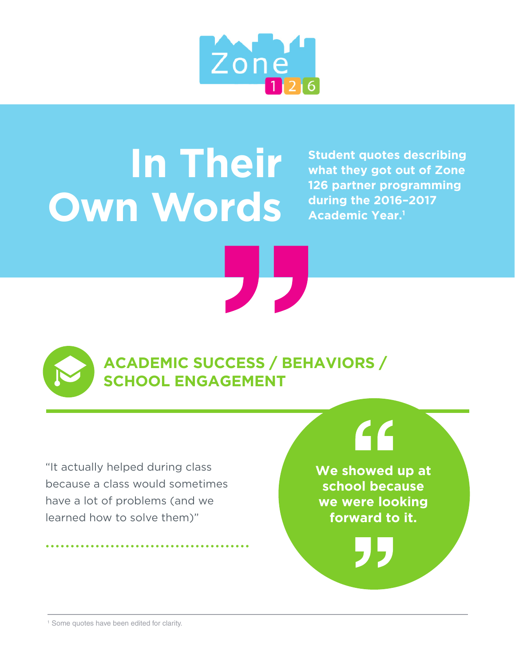

## **In Their Own Words**

**Student quotes describing what they got out of Zone 126 partner programming during the 2016–2017 Academic Year.1** 

**ACADEMIC SUCCESS / BEHAVIORS / SCHOOL ENGAGEMENT**

"It actually helped during class because a class would sometimes have a lot of problems (and we learned how to solve them)"

### $\epsilon$

**We showed up at school because we were looking forward to it.**

<sup>1</sup> Some quotes have been edited for clarity.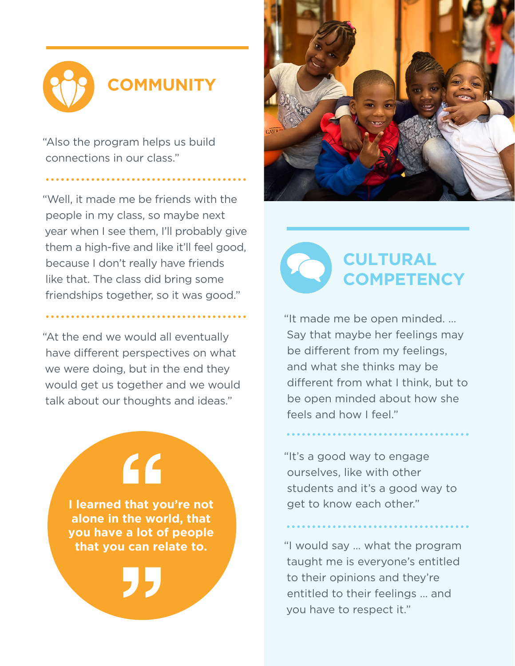# **COMMUNITY**

"Also the program helps us build connections in our class."

"Well, it made me be friends with the people in my class, so maybe next year when I see them, I'll probably give them a high-five and like it'll feel good, because I don't really have friends like that. The class did bring some friendships together, so it was good."

"At the end we would all eventually have different perspectives on what we were doing, but in the end they would get us together and we would talk about our thoughts and ideas."

> **I learned that you're not alone in the world, that you have a lot of people that you can relate to.**

 $\overline{\mathsf{G}}$ 



**CULTURAL COMPETENCY**

"It made me be open minded. … Say that maybe her feelings may be different from my feelings, and what she thinks may be different from what I think, but to be open minded about how she feels and how I feel."

"It's a good way to engage ourselves, like with other students and it's a good way to get to know each other."

"I would say … what the program taught me is everyone's entitled to their opinions and they're entitled to their feelings … and you have to respect it."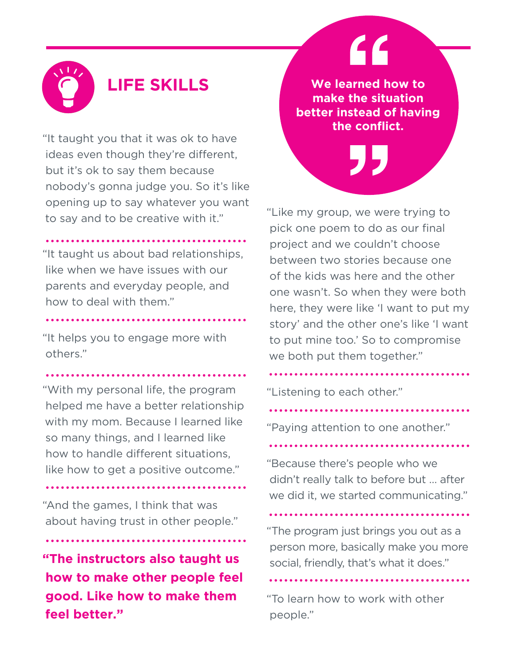"It taught you that it was ok to have ideas even though they're different, but it's ok to say them because nobody's gonna judge you. So it's like opening up to say whatever you want to say and to be creative with it."

"It taught us about bad relationships, like when we have issues with our parents and everyday people, and how to deal with them."

"It helps you to engage more with others."

"With my personal life, the program helped me have a better relationship with my mom. Because I learned like so many things, and I learned like how to handle different situations, like how to get a positive outcome."

"And the games, I think that was about having trust in other people."

**"The instructors also taught us how to make other people feel good. Like how to make them feel better."**

**LIFE SKILLS** We learned how to **make the situation better instead of having the conflict.**

"

"Like my group, we were trying to pick one poem to do as our final project and we couldn't choose between two stories because one of the kids was here and the other one wasn't. So when they were both here, they were like 'I want to put my story' and the other one's like 'I want to put mine too.' So to compromise we both put them together."

"Listening to each other."

"Paying attention to one another."

"Because there's people who we didn't really talk to before but … after we did it, we started communicating."

"The program just brings you out as a person more, basically make you more social, friendly, that's what it does."

"To learn how to work with other people."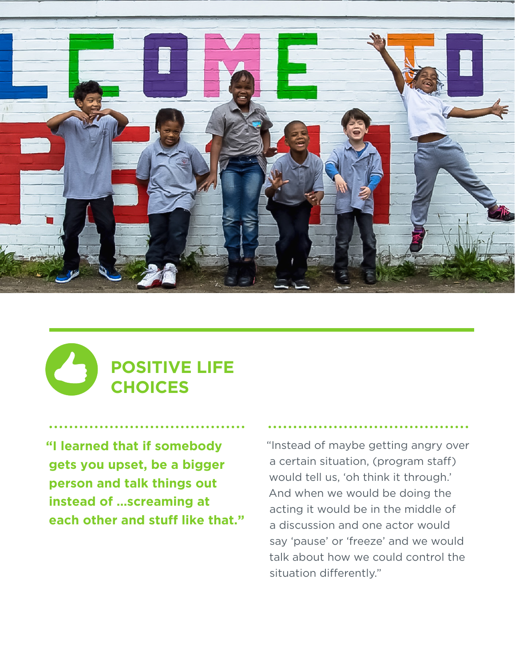

### **POSITIVE LIFE CHOICES**

**"I learned that if somebody gets you upset, be a bigger person and talk things out instead of …screaming at each other and stuff like that."** "Instead of maybe getting angry over a certain situation, (program staff) would tell us, 'oh think it through.' And when we would be doing the acting it would be in the middle of a discussion and one actor would say 'pause' or 'freeze' and we would talk about how we could control the situation differently."